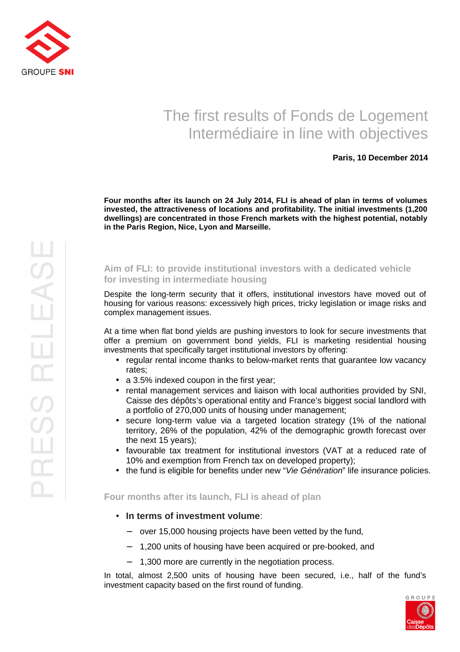

# The first results of Fonds de Logement Intermédiaire in line with objectives

### **Paris, 10 December 2014**

**Four months after its launch on 24 July 2014, FLI is ahead of plan in terms of volumes invested, the attractiveness of locations and profitability. The initial investments (1,200 dwellings) are concentrated in those French markets with the highest potential, notably in the Paris Region, Nice, Lyon and Marseille.** 

## **Aim of FLI: to provide institutional investors with a dedicated vehicle for investing in intermediate housing**

Despite the long-term security that it offers, institutional investors have moved out of housing for various reasons: excessively high prices, tricky legislation or image risks and complex management issues.

At a time when flat bond yields are pushing investors to look for secure investments that offer a premium on government bond yields, FLI is marketing residential housing investments that specifically target institutional investors by offering:

- regular rental income thanks to below-market rents that guarantee low vacancy rates;
- a 3.5% indexed coupon in the first year;
- rental management services and liaison with local authorities provided by SNI, Caisse des dépôts's operational entity and France's biggest social landlord with a portfolio of 270,000 units of housing under management;
- secure long-term value via a targeted location strategy (1% of the national territory, 26% of the population, 42% of the demographic growth forecast over the next 15 years);
- favourable tax treatment for institutional investors (VAT at a reduced rate of 10% and exemption from French tax on developed property);
- the fund is eligible for benefits under new "Vie Génération" life insurance policies.

### **Four months after its launch, FLI is ahead of plan**

- **In terms of investment volume**:
	- − over 15,000 housing projects have been vetted by the fund,
	- − 1,200 units of housing have been acquired or pre-booked, and
	- − 1,300 more are currently in the negotiation process.

In total, almost 2,500 units of housing have been secured, i.e., half of the fund's investment capacity based on the first round of funding.

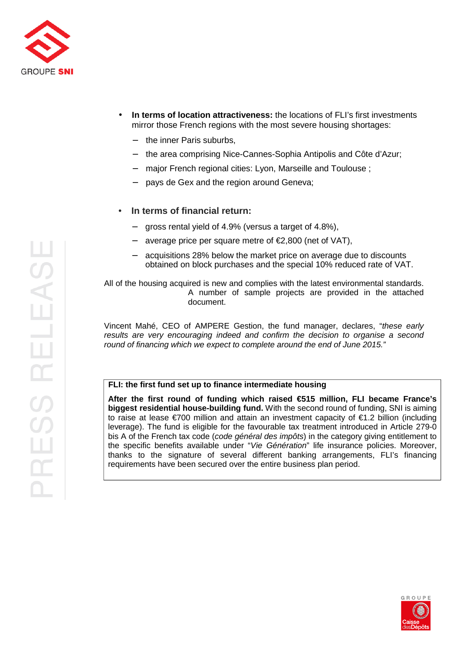

- **In terms of location attractiveness:** the locations of FLI's first investments mirror those French regions with the most severe housing shortages:
	- − the inner Paris suburbs,
	- the area comprising Nice-Cannes-Sophia Antipolis and Côte d'Azur;
	- − major French regional cities: Lyon, Marseille and Toulouse ;
	- pays de Gex and the region around Geneva;

# • **In terms of financial return:**

- − gross rental yield of 4.9% (versus a target of 4.8%),
- average price per square metre of €2,800 (net of VAT),
- acquisitions 28% below the market price on average due to discounts obtained on block purchases and the special 10% reduced rate of VAT.

All of the housing acquired is new and complies with the latest environmental standards. A number of sample projects are provided in the attached document.

Vincent Mahé, CEO of AMPERE Gestion, the fund manager, declares, "these early results are very encouraging indeed and confirm the decision to organise a second round of financing which we expect to complete around the end of June 2015."

#### **FLI: the first fund set up to finance intermediate housing**

**After the first round of funding which raised €515 million, FLI became France's biggest residential house-building fund.** With the second round of funding, SNI is aiming to raise at lease €700 million and attain an investment capacity of €1.2 billion (including leverage). The fund is eligible for the favourable tax treatment introduced in Article 279-0 bis A of the French tax code (code général des impôts) in the category giving entitlement to the specific benefits available under "Vie Génération" life insurance policies. Moreover, thanks to the signature of several different banking arrangements, FLI's financing requirements have been secured over the entire business plan period.